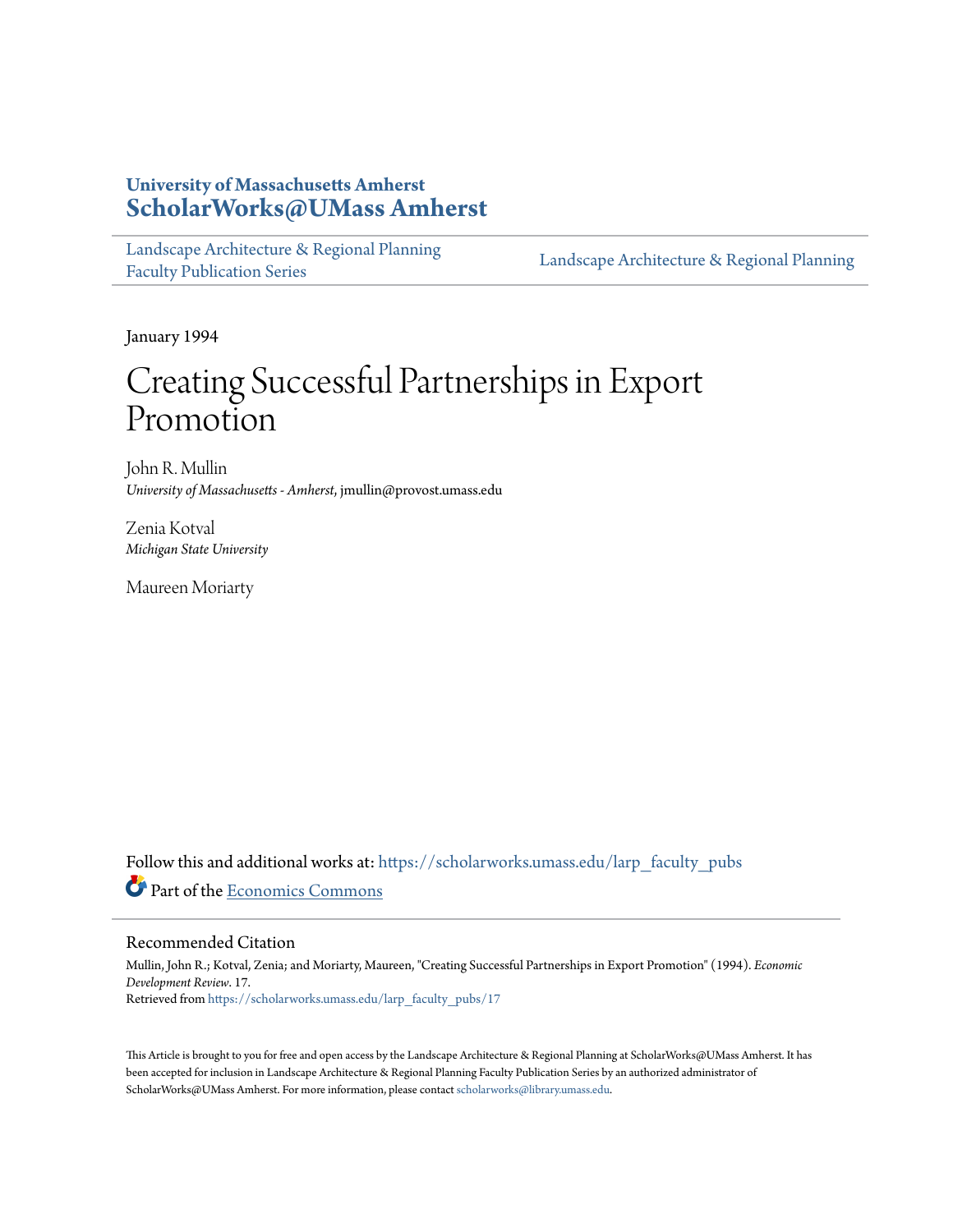# **University of Massachusetts Amherst [ScholarWorks@UMass Amherst](https://scholarworks.umass.edu?utm_source=scholarworks.umass.edu%2Flarp_faculty_pubs%2F17&utm_medium=PDF&utm_campaign=PDFCoverPages)**

[Landscape Architecture & Regional Planning](https://scholarworks.umass.edu/larp_faculty_pubs?utm_source=scholarworks.umass.edu%2Flarp_faculty_pubs%2F17&utm_medium=PDF&utm_campaign=PDFCoverPages) [Faculty Publication Series](https://scholarworks.umass.edu/larp_faculty_pubs?utm_source=scholarworks.umass.edu%2Flarp_faculty_pubs%2F17&utm_medium=PDF&utm_campaign=PDFCoverPages)

[Landscape Architecture & Regional Planning](https://scholarworks.umass.edu/larp?utm_source=scholarworks.umass.edu%2Flarp_faculty_pubs%2F17&utm_medium=PDF&utm_campaign=PDFCoverPages)

January 1994

# Creating Successful Partnerships in Export Promotion

John R. Mullin *University of Massachusetts - Amherst*, jmullin@provost.umass.edu

Zenia Kotval *Michigan State University*

Maureen Moriarty

Follow this and additional works at: [https://scholarworks.umass.edu/larp\\_faculty\\_pubs](https://scholarworks.umass.edu/larp_faculty_pubs?utm_source=scholarworks.umass.edu%2Flarp_faculty_pubs%2F17&utm_medium=PDF&utm_campaign=PDFCoverPages) Part of the [Economics Commons](http://network.bepress.com/hgg/discipline/340?utm_source=scholarworks.umass.edu%2Flarp_faculty_pubs%2F17&utm_medium=PDF&utm_campaign=PDFCoverPages)

#### Recommended Citation

Mullin, John R.; Kotval, Zenia; and Moriarty, Maureen, "Creating Successful Partnerships in Export Promotion" (1994). *Economic Development Review*. 17. Retrieved from [https://scholarworks.umass.edu/larp\\_faculty\\_pubs/17](https://scholarworks.umass.edu/larp_faculty_pubs/17?utm_source=scholarworks.umass.edu%2Flarp_faculty_pubs%2F17&utm_medium=PDF&utm_campaign=PDFCoverPages)

This Article is brought to you for free and open access by the Landscape Architecture & Regional Planning at ScholarWorks@UMass Amherst. It has been accepted for inclusion in Landscape Architecture & Regional Planning Faculty Publication Series by an authorized administrator of ScholarWorks@UMass Amherst. For more information, please contact [scholarworks@library.umass.edu.](mailto:scholarworks@library.umass.edu)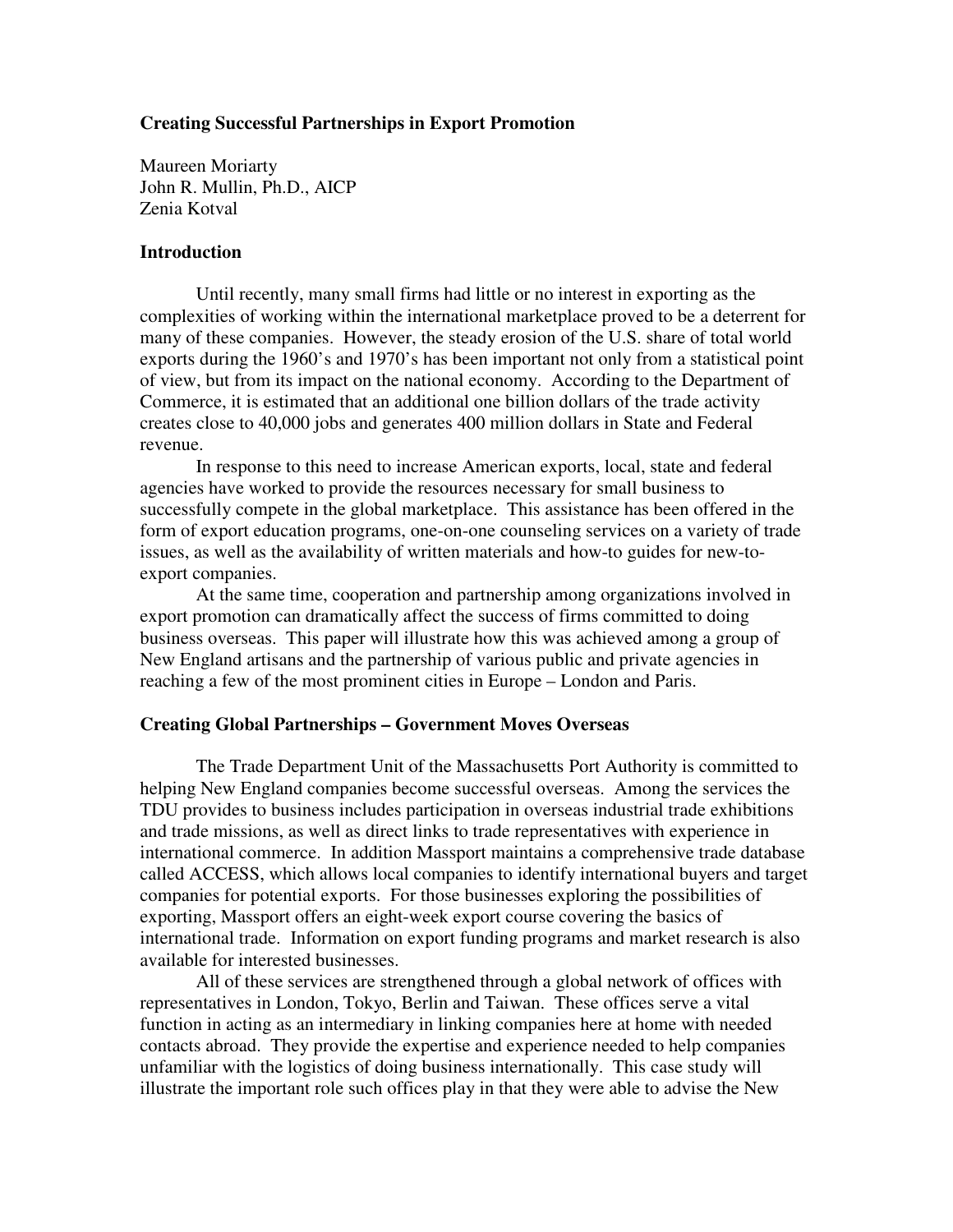# **Creating Successful Partnerships in Export Promotion**

Maureen Moriarty John R. Mullin, Ph.D., AICP Zenia Kotval

## **Introduction**

 Until recently, many small firms had little or no interest in exporting as the complexities of working within the international marketplace proved to be a deterrent for many of these companies. However, the steady erosion of the U.S. share of total world exports during the 1960's and 1970's has been important not only from a statistical point of view, but from its impact on the national economy. According to the Department of Commerce, it is estimated that an additional one billion dollars of the trade activity creates close to 40,000 jobs and generates 400 million dollars in State and Federal revenue.

 In response to this need to increase American exports, local, state and federal agencies have worked to provide the resources necessary for small business to successfully compete in the global marketplace. This assistance has been offered in the form of export education programs, one-on-one counseling services on a variety of trade issues, as well as the availability of written materials and how-to guides for new-toexport companies.

 At the same time, cooperation and partnership among organizations involved in export promotion can dramatically affect the success of firms committed to doing business overseas. This paper will illustrate how this was achieved among a group of New England artisans and the partnership of various public and private agencies in reaching a few of the most prominent cities in Europe – London and Paris.

#### **Creating Global Partnerships – Government Moves Overseas**

 The Trade Department Unit of the Massachusetts Port Authority is committed to helping New England companies become successful overseas. Among the services the TDU provides to business includes participation in overseas industrial trade exhibitions and trade missions, as well as direct links to trade representatives with experience in international commerce. In addition Massport maintains a comprehensive trade database called ACCESS, which allows local companies to identify international buyers and target companies for potential exports. For those businesses exploring the possibilities of exporting, Massport offers an eight-week export course covering the basics of international trade. Information on export funding programs and market research is also available for interested businesses.

 All of these services are strengthened through a global network of offices with representatives in London, Tokyo, Berlin and Taiwan. These offices serve a vital function in acting as an intermediary in linking companies here at home with needed contacts abroad. They provide the expertise and experience needed to help companies unfamiliar with the logistics of doing business internationally. This case study will illustrate the important role such offices play in that they were able to advise the New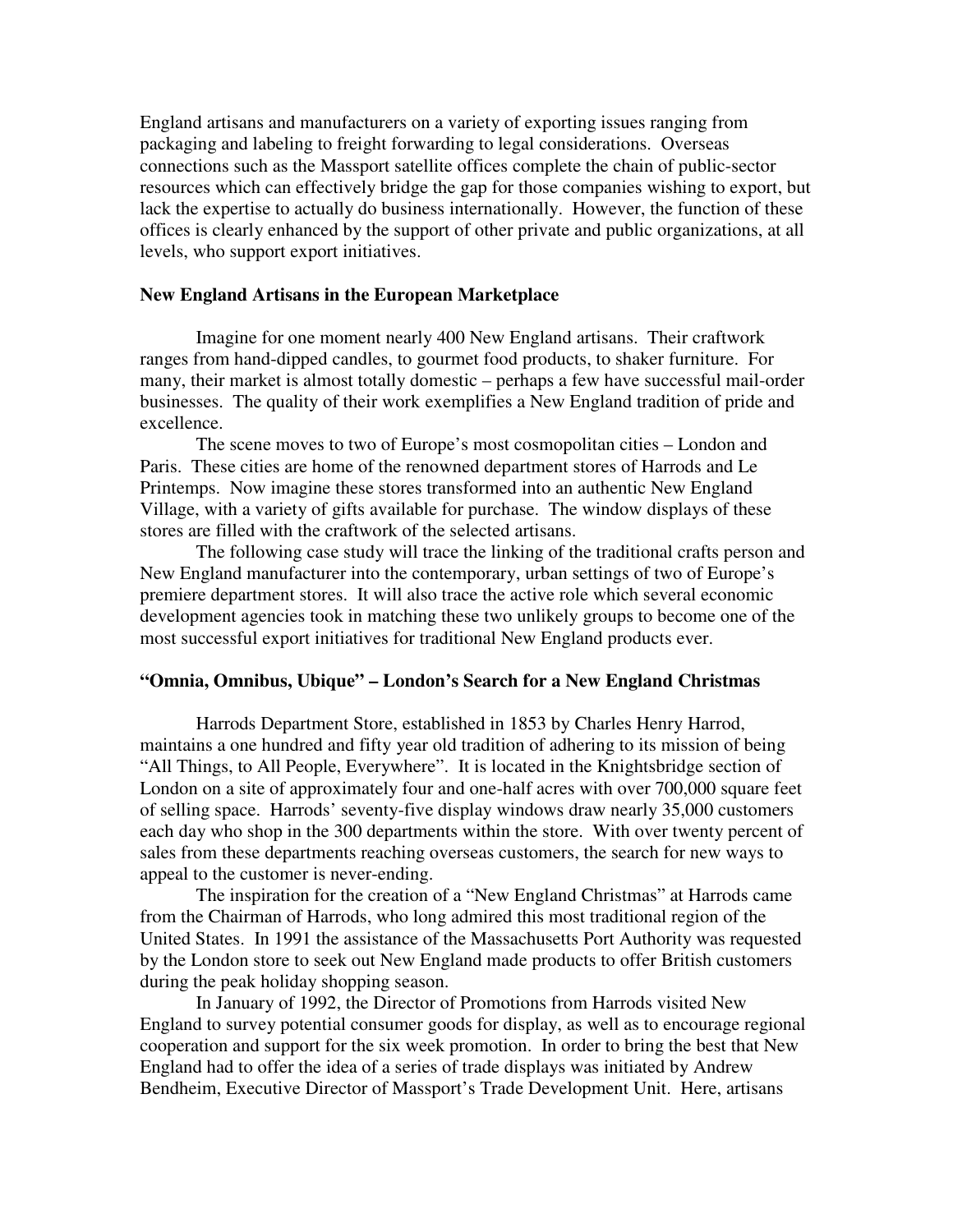England artisans and manufacturers on a variety of exporting issues ranging from packaging and labeling to freight forwarding to legal considerations. Overseas connections such as the Massport satellite offices complete the chain of public-sector resources which can effectively bridge the gap for those companies wishing to export, but lack the expertise to actually do business internationally. However, the function of these offices is clearly enhanced by the support of other private and public organizations, at all levels, who support export initiatives.

# **New England Artisans in the European Marketplace**

 Imagine for one moment nearly 400 New England artisans. Their craftwork ranges from hand-dipped candles, to gourmet food products, to shaker furniture. For many, their market is almost totally domestic – perhaps a few have successful mail-order businesses. The quality of their work exemplifies a New England tradition of pride and excellence.

 The scene moves to two of Europe's most cosmopolitan cities – London and Paris. These cities are home of the renowned department stores of Harrods and Le Printemps. Now imagine these stores transformed into an authentic New England Village, with a variety of gifts available for purchase. The window displays of these stores are filled with the craftwork of the selected artisans.

 The following case study will trace the linking of the traditional crafts person and New England manufacturer into the contemporary, urban settings of two of Europe's premiere department stores. It will also trace the active role which several economic development agencies took in matching these two unlikely groups to become one of the most successful export initiatives for traditional New England products ever.

# **"Omnia, Omnibus, Ubique" – London's Search for a New England Christmas**

 Harrods Department Store, established in 1853 by Charles Henry Harrod, maintains a one hundred and fifty year old tradition of adhering to its mission of being "All Things, to All People, Everywhere". It is located in the Knightsbridge section of London on a site of approximately four and one-half acres with over 700,000 square feet of selling space. Harrods' seventy-five display windows draw nearly 35,000 customers each day who shop in the 300 departments within the store. With over twenty percent of sales from these departments reaching overseas customers, the search for new ways to appeal to the customer is never-ending.

 The inspiration for the creation of a "New England Christmas" at Harrods came from the Chairman of Harrods, who long admired this most traditional region of the United States. In 1991 the assistance of the Massachusetts Port Authority was requested by the London store to seek out New England made products to offer British customers during the peak holiday shopping season.

 In January of 1992, the Director of Promotions from Harrods visited New England to survey potential consumer goods for display, as well as to encourage regional cooperation and support for the six week promotion. In order to bring the best that New England had to offer the idea of a series of trade displays was initiated by Andrew Bendheim, Executive Director of Massport's Trade Development Unit. Here, artisans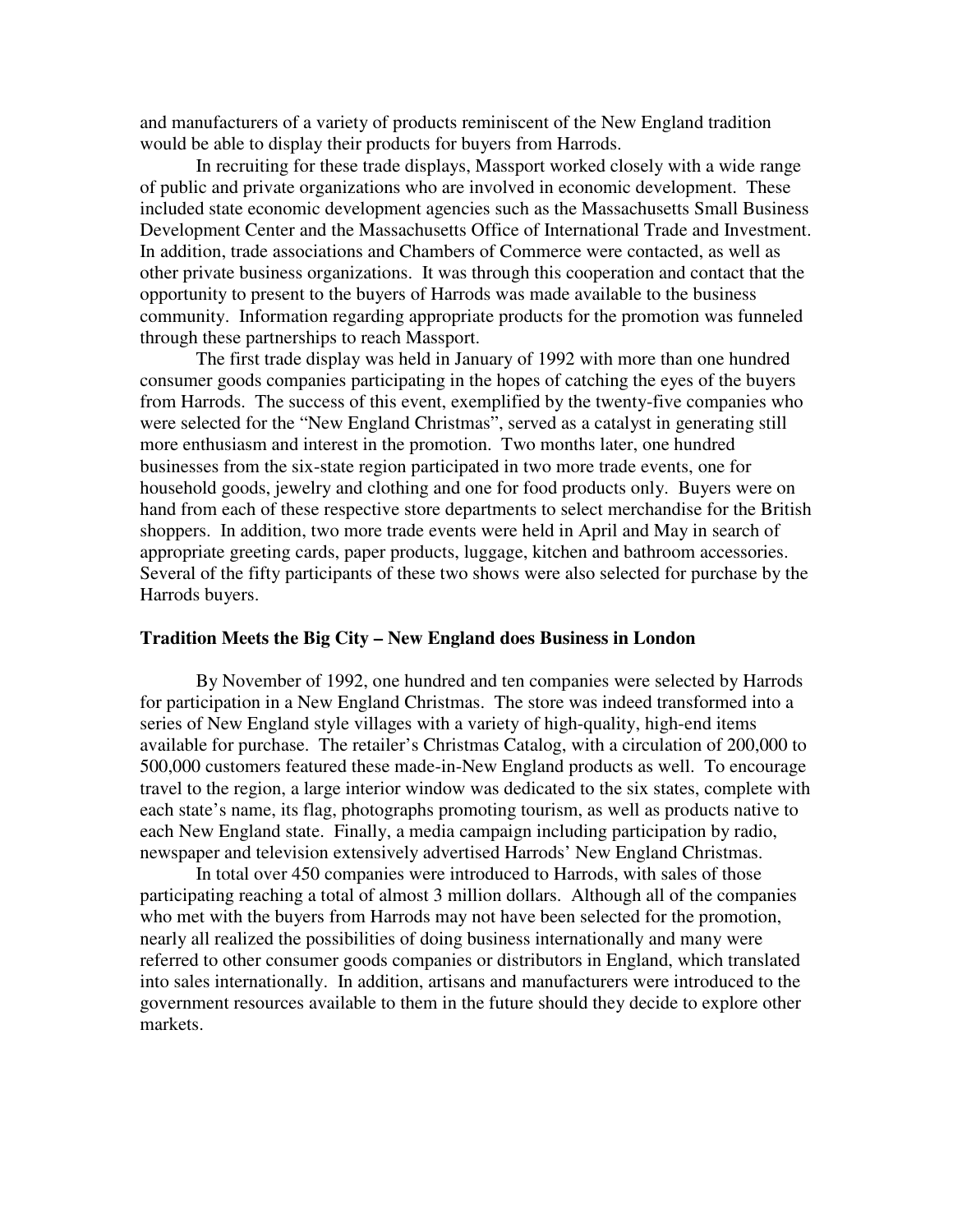and manufacturers of a variety of products reminiscent of the New England tradition would be able to display their products for buyers from Harrods.

 In recruiting for these trade displays, Massport worked closely with a wide range of public and private organizations who are involved in economic development. These included state economic development agencies such as the Massachusetts Small Business Development Center and the Massachusetts Office of International Trade and Investment. In addition, trade associations and Chambers of Commerce were contacted, as well as other private business organizations. It was through this cooperation and contact that the opportunity to present to the buyers of Harrods was made available to the business community. Information regarding appropriate products for the promotion was funneled through these partnerships to reach Massport.

 The first trade display was held in January of 1992 with more than one hundred consumer goods companies participating in the hopes of catching the eyes of the buyers from Harrods. The success of this event, exemplified by the twenty-five companies who were selected for the "New England Christmas", served as a catalyst in generating still more enthusiasm and interest in the promotion. Two months later, one hundred businesses from the six-state region participated in two more trade events, one for household goods, jewelry and clothing and one for food products only. Buyers were on hand from each of these respective store departments to select merchandise for the British shoppers. In addition, two more trade events were held in April and May in search of appropriate greeting cards, paper products, luggage, kitchen and bathroom accessories. Several of the fifty participants of these two shows were also selected for purchase by the Harrods buyers.

#### **Tradition Meets the Big City – New England does Business in London**

 By November of 1992, one hundred and ten companies were selected by Harrods for participation in a New England Christmas. The store was indeed transformed into a series of New England style villages with a variety of high-quality, high-end items available for purchase. The retailer's Christmas Catalog, with a circulation of 200,000 to 500,000 customers featured these made-in-New England products as well. To encourage travel to the region, a large interior window was dedicated to the six states, complete with each state's name, its flag, photographs promoting tourism, as well as products native to each New England state. Finally, a media campaign including participation by radio, newspaper and television extensively advertised Harrods' New England Christmas.

 In total over 450 companies were introduced to Harrods, with sales of those participating reaching a total of almost 3 million dollars. Although all of the companies who met with the buyers from Harrods may not have been selected for the promotion, nearly all realized the possibilities of doing business internationally and many were referred to other consumer goods companies or distributors in England, which translated into sales internationally. In addition, artisans and manufacturers were introduced to the government resources available to them in the future should they decide to explore other markets.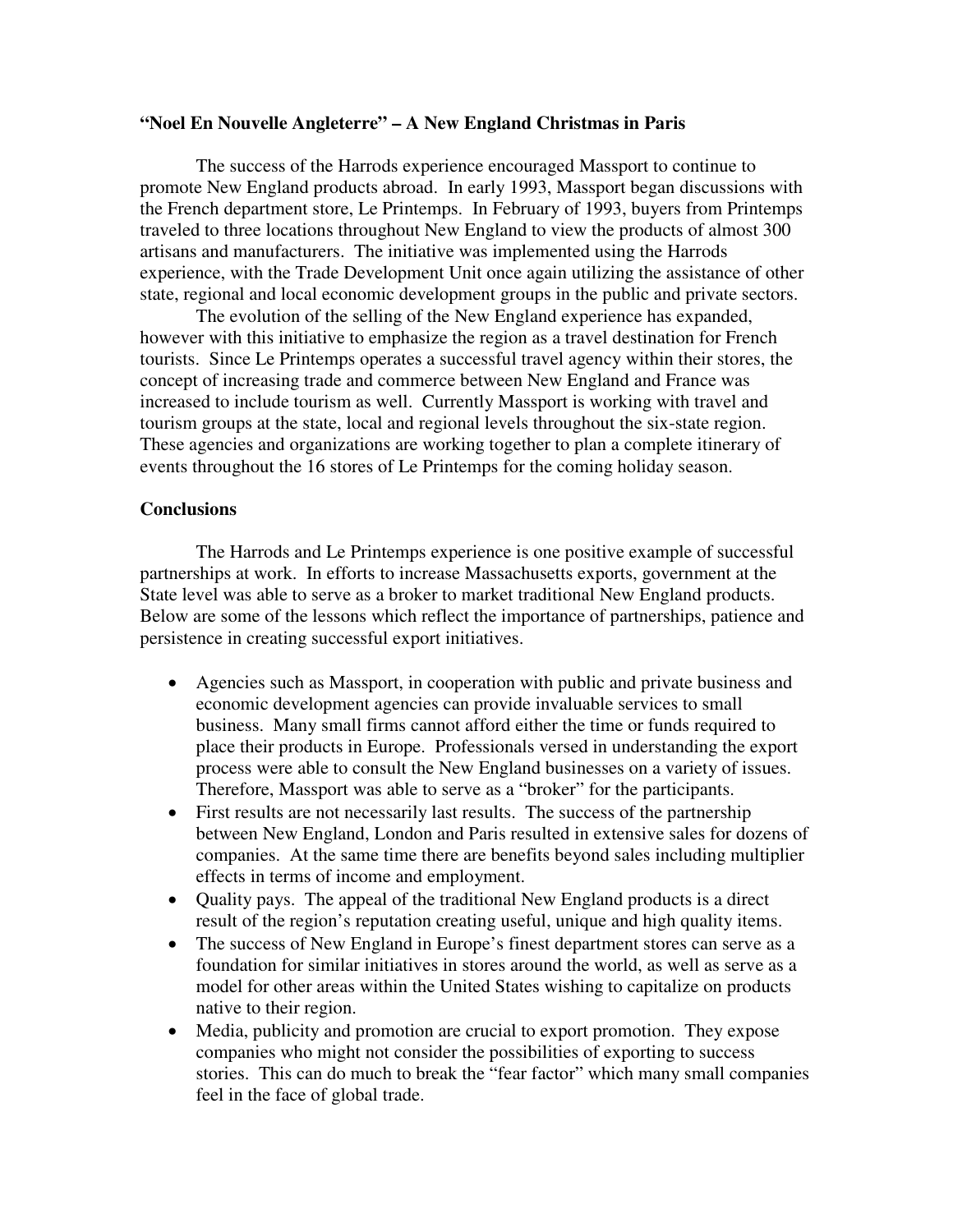### **"Noel En Nouvelle Angleterre" – A New England Christmas in Paris**

The success of the Harrods experience encouraged Massport to continue to promote New England products abroad. In early 1993, Massport began discussions with the French department store, Le Printemps. In February of 1993, buyers from Printemps traveled to three locations throughout New England to view the products of almost 300 artisans and manufacturers. The initiative was implemented using the Harrods experience, with the Trade Development Unit once again utilizing the assistance of other state, regional and local economic development groups in the public and private sectors.

 The evolution of the selling of the New England experience has expanded, however with this initiative to emphasize the region as a travel destination for French tourists. Since Le Printemps operates a successful travel agency within their stores, the concept of increasing trade and commerce between New England and France was increased to include tourism as well. Currently Massport is working with travel and tourism groups at the state, local and regional levels throughout the six-state region. These agencies and organizations are working together to plan a complete itinerary of events throughout the 16 stores of Le Printemps for the coming holiday season.

### **Conclusions**

 The Harrods and Le Printemps experience is one positive example of successful partnerships at work. In efforts to increase Massachusetts exports, government at the State level was able to serve as a broker to market traditional New England products. Below are some of the lessons which reflect the importance of partnerships, patience and persistence in creating successful export initiatives.

- Agencies such as Massport, in cooperation with public and private business and economic development agencies can provide invaluable services to small business. Many small firms cannot afford either the time or funds required to place their products in Europe. Professionals versed in understanding the export process were able to consult the New England businesses on a variety of issues. Therefore, Massport was able to serve as a "broker" for the participants.
- First results are not necessarily last results. The success of the partnership between New England, London and Paris resulted in extensive sales for dozens of companies. At the same time there are benefits beyond sales including multiplier effects in terms of income and employment.
- Ouality pays. The appeal of the traditional New England products is a direct result of the region's reputation creating useful, unique and high quality items.
- The success of New England in Europe's finest department stores can serve as a foundation for similar initiatives in stores around the world, as well as serve as a model for other areas within the United States wishing to capitalize on products native to their region.
- Media, publicity and promotion are crucial to export promotion. They expose companies who might not consider the possibilities of exporting to success stories. This can do much to break the "fear factor" which many small companies feel in the face of global trade.